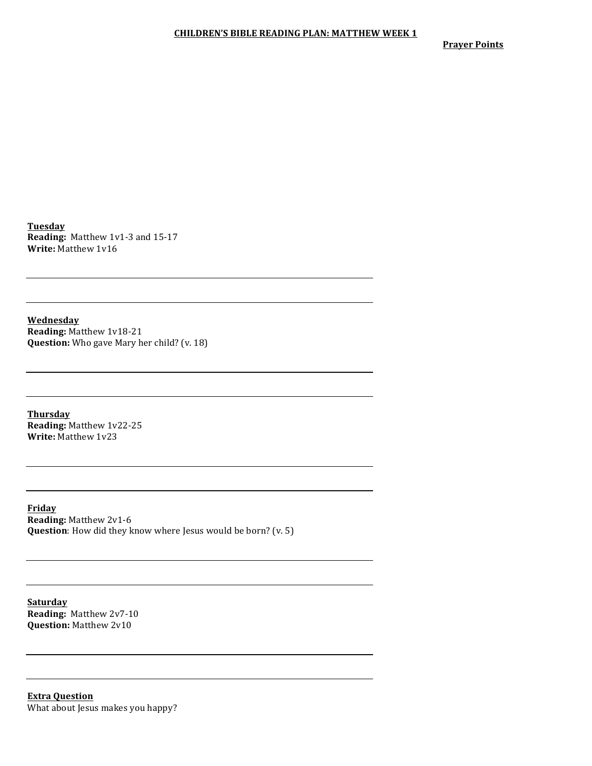**Prayer Points** 

**Tuesday Reading:** Matthew 1v1-3 and 15-17 **Write: Matthew 1v16** 

**Wednesday Reading:** Matthew 1v18-21 **Question:** Who gave Mary her child? (v. 18)

**Thursday Reading:** Matthew 1v22-25 **Write:** Matthew 1v23

**Friday Reading:** Matthew 2v1-6 **Question**: How did they know where Jesus would be born? (v. 5)

**Saturday Reading: Matthew 2v7-10 Question:** Matthew 2v10

**Extra Question** What about Jesus makes you happy?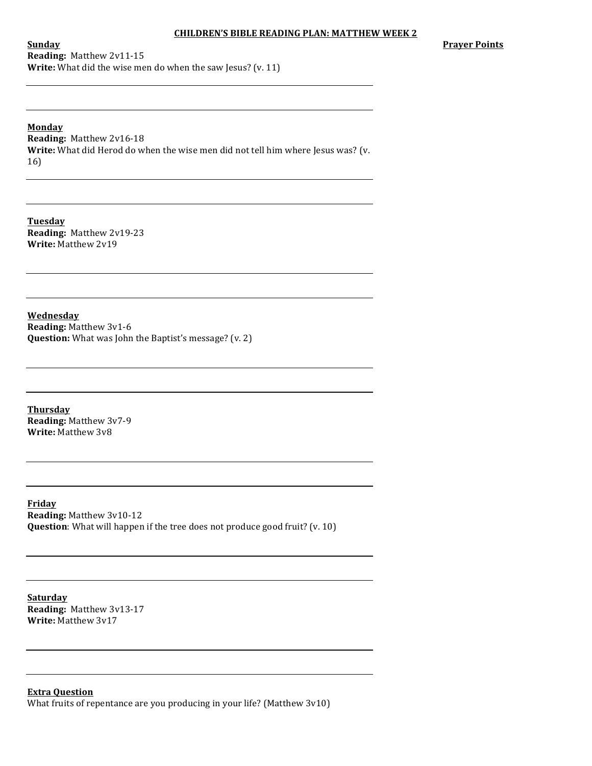**Prayer Points**

**Sunday Reading:** Matthew 2v11-15 **Write:** What did the wise men do when the saw Jesus? (v. 11)

**Monday Reading:** Matthew 2v16-18 **Write:** What did Herod do when the wise men did not tell him where Jesus was? (v. 16)

**Tuesday Reading:** Matthew 2v19-23 **Write:** Matthew 2v19

**Wednesday Reading:** Matthew 3v1-6 **Question:** What was John the Baptist's message? (v. 2)

**Thursday Reading:** Matthew 3v7-9 **Write:** Matthew 3v8

**Friday Reading:** Matthew 3v10-12 **Question**: What will happen if the tree does not produce good fruit? (v. 10)

**Saturday Reading:** Matthew 3v13-17 **Write: Matthew 3v17** 

**Extra Question** What fruits of repentance are you producing in your life? (Matthew  $3v10$ )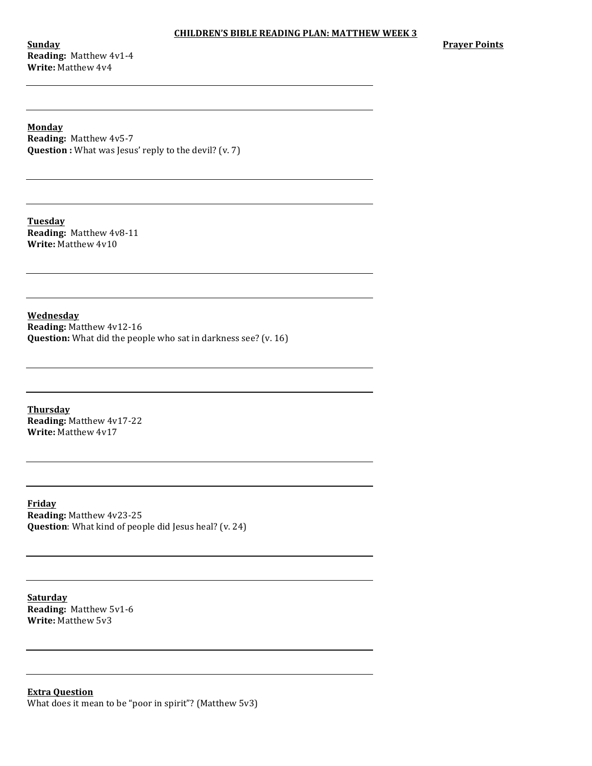**Sunday Reading:** Matthew 4v1-4 **Write:** Matthew 4v4

**Prayer Points** 

**Monday Reading:** Matthew 4v5-7 **Question** : What was Jesus' reply to the devil? (v. 7)

**Tuesday Reading:** Matthew 4v8-11 **Write: Matthew 4v10** 

**Wednesday Reading:** Matthew 4v12-16 **Question:** What did the people who sat in darkness see? (v. 16)

**Thursday Reading:** Matthew 4v17-22 **Write: Matthew 4v17** 

**Friday Reading: Matthew 4v23-25 Question**: What kind of people did Jesus heal? (v. 24)

**Saturday Reading:** Matthew 5v1-6 **Write: Matthew 5v3** 

**Extra Question** What does it mean to be "poor in spirit"? (Matthew  $5v3$ )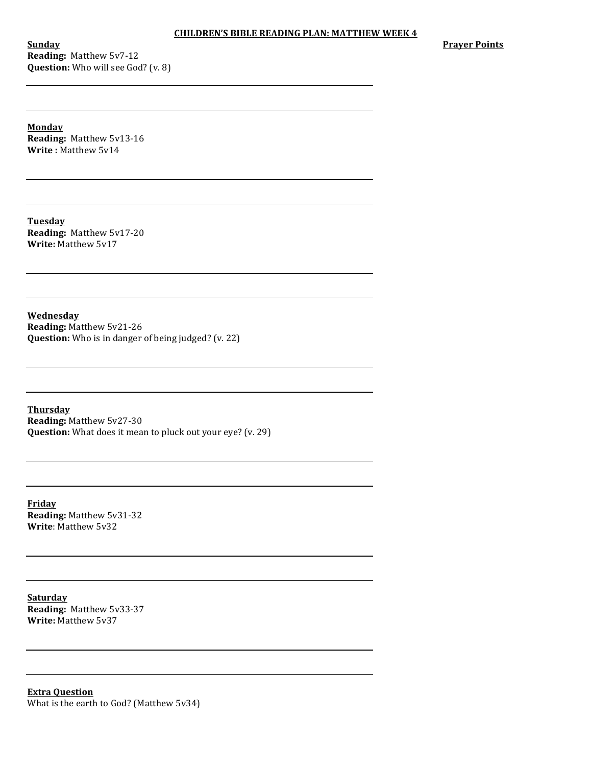**Sunday Reading:** Matthew 5v7-12 **Question:** Who will see God? (v. 8) **Prayer Points** 

**Monday Reading: Matthew 5v13-16 Write: Matthew 5v14** 

**Tuesday Reading:** Matthew 5v17-20 **Write: Matthew 5v17** 

**Wednesday Reading:** Matthew 5v21-26 **Question:** Who is in danger of being judged? (v. 22)

**Thursday Reading:** Matthew 5v27-30 **Question:** What does it mean to pluck out your eye? (v. 29)

**Friday Reading:** Matthew 5v31-32 **Write: Matthew 5v32** 

**Saturday Reading:** Matthew 5v33-37 **Write: Matthew 5v37** 

**Extra Question** What is the earth to God? (Matthew 5v34)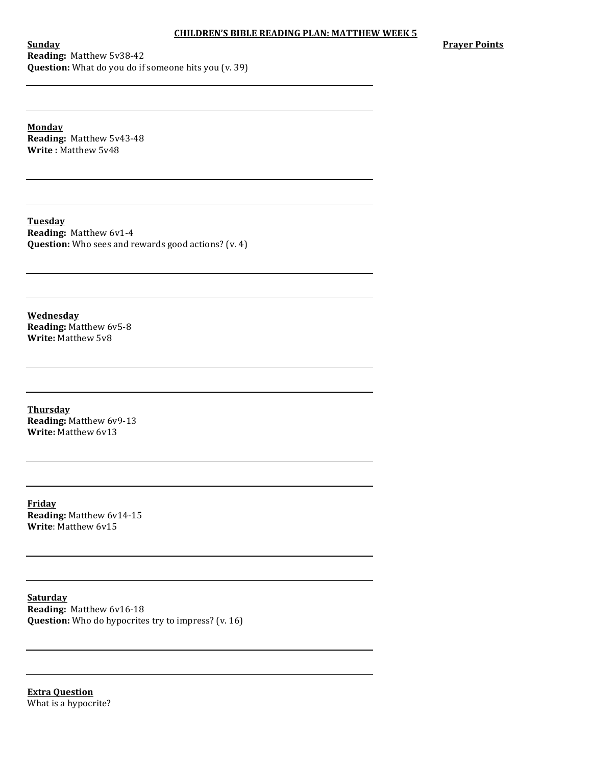**Prayer Points** 

**Sunday Reading:** Matthew 5v38-42 **Question:** What do you do if someone hits you (v. 39)

**Monday Reading: Matthew 5v43-48 Write**: Matthew 5v48

**Tuesday Reading: Matthew 6v1-4 Question:** Who sees and rewards good actions? (v. 4)

**Wednesday Reading:** Matthew 6v5-8 **Write:** Matthew 5v8

**Thursday Reading:** Matthew 6v9-13 **Write:** Matthew 6v13

**Friday Reading: Matthew 6v14-15 Write:** Matthew 6v15

**Saturday Reading:** Matthew 6v16-18 **Question:** Who do hypocrites try to impress? (v. 16)

**Extra Question** What is a hypocrite?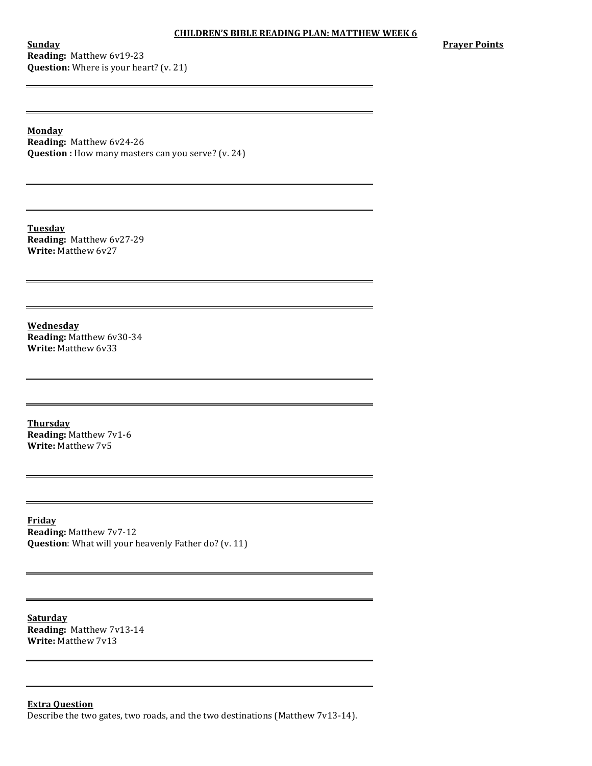**Sunday Reading:** Matthew 6v19-23 **Question:** Where is your heart? (v. 21) **Prayer Points**

**Monday Reading:** Matthew 6v24-26 **Question** : How many masters can you serve? (v. 24)

<u> 1989 - Johann Barbara, martin amerikan basar dan berasal dalam basa dalam basa dalam basa dalam basa dalam b</u>

**Tuesday Reading:** Matthew 6v27-29 **Write:** Matthew 6y27

**Wednesday Reading:** Matthew 6v30-34 **Write: Matthew 6v33** 

**Thursday Reading: Matthew 7v1-6 Write: Matthew 7v5** 

 $\overline{\phantom{0}}$ 

**Friday Reading: Matthew 7v7-12 Question**: What will your heavenly Father do? (v. 11)

**Saturday Reading:** Matthew 7v13-14 **Write: Matthew 7v13** 

#### **Extra Question**

Describe the two gates, two roads, and the two destinations (Matthew  $7v13-14$ ).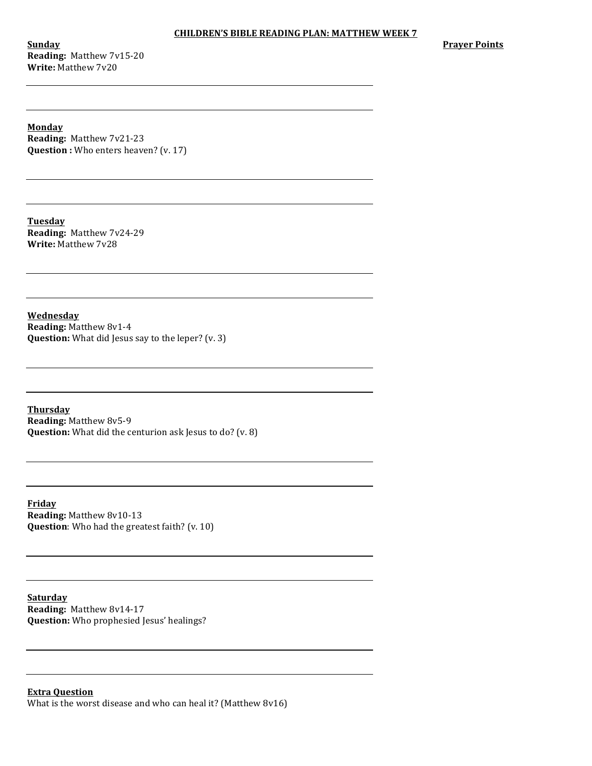**Sunday Reading:** Matthew 7v15-20 **Write:** Matthew 7v20

**Prayer Points** 

**Monday Reading:** Matthew 7v21-23 **Question**: Who enters heaven? (v. 17)

**Tuesday Reading:** Matthew 7v24-29 **Write:** Matthew 7v28

**Wednesday Reading:** Matthew 8v1-4 **Question:** What did Jesus say to the leper? (v. 3)

**Thursday Reading:** Matthew 8v5-9 **Question:** What did the centurion ask Jesus to do? (v. 8)

**Friday Reading:** Matthew 8v10-13 **Question**: Who had the greatest faith? (v. 10)

**Saturday Reading:** Matthew 8v14-17 **Question:** Who prophesied Jesus' healings?

# **Extra Question** What is the worst disease and who can heal it? (Matthew  $8v16$ )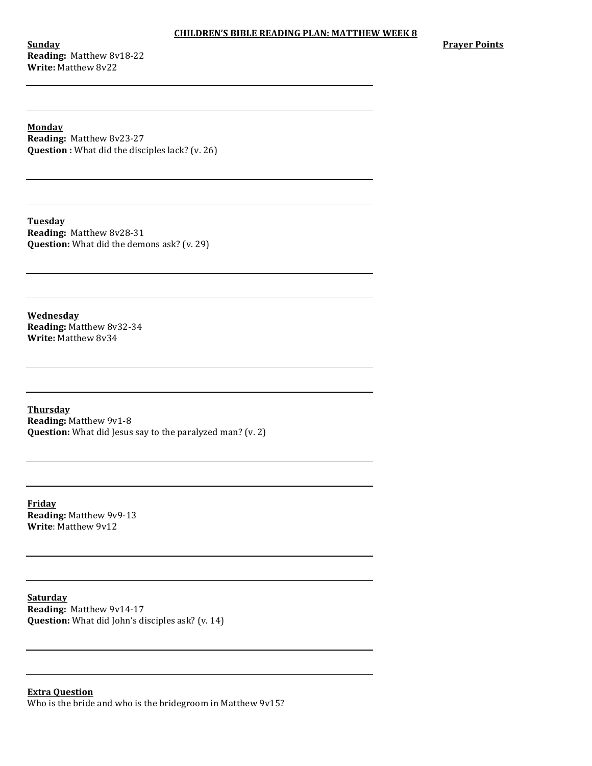**Sunday Reading:** Matthew 8v18-22 **Write:** Matthew 8v22

**Prayer Points** 

**Monday Reading:** Matthew 8v23-27 **Question**: What did the disciples lack? (v. 26)

**Tuesday Reading:** Matthew 8v28-31 **Question:** What did the demons ask? (v. 29)

**Wednesday Reading:** Matthew 8v32-34 **Write: Matthew 8v34** 

**Thursday Reading:** Matthew 9v1-8 **Question:** What did Jesus say to the paralyzed man? (v. 2)

**Friday Reading:** Matthew 9v9-13 **Write: Matthew 9v12** 

**Saturday Reading: Matthew 9v14-17 Question:** What did John's disciples ask? (v. 14)

**Extra Question** Who is the bride and who is the bridegroom in Matthew 9v15?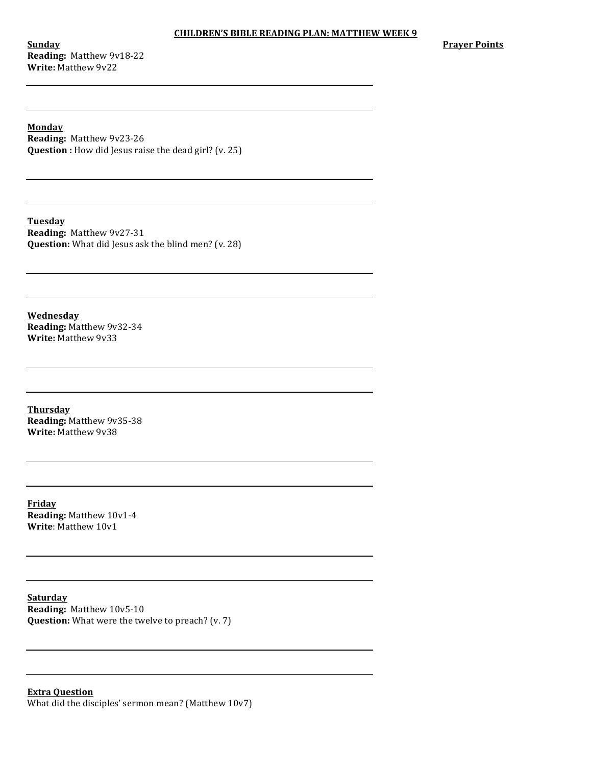**Sunday Reading:** Matthew 9v18-22 **Write:** Matthew 9v22

**Prayer Points** 

**Monday Reading: Matthew 9v23-26 Question** : How did Jesus raise the dead girl? (v. 25)

**Tuesday Reading:** Matthew 9v27-31 **Question:** What did Jesus ask the blind men? (v. 28)

**Wednesday Reading:** Matthew 9v32-34 **Write: Matthew 9v33** 

**Thursday Reading:** Matthew 9v35-38 **Write: Matthew 9v38** 

**Friday Reading:** Matthew 10v1-4 **Write: Matthew 10v1** 

**Saturday Reading:** Matthew 10v5-10 **Question:** What were the twelve to preach? (v. 7)

# **Extra Question** What did the disciples' sermon mean? (Matthew  $10v7$ )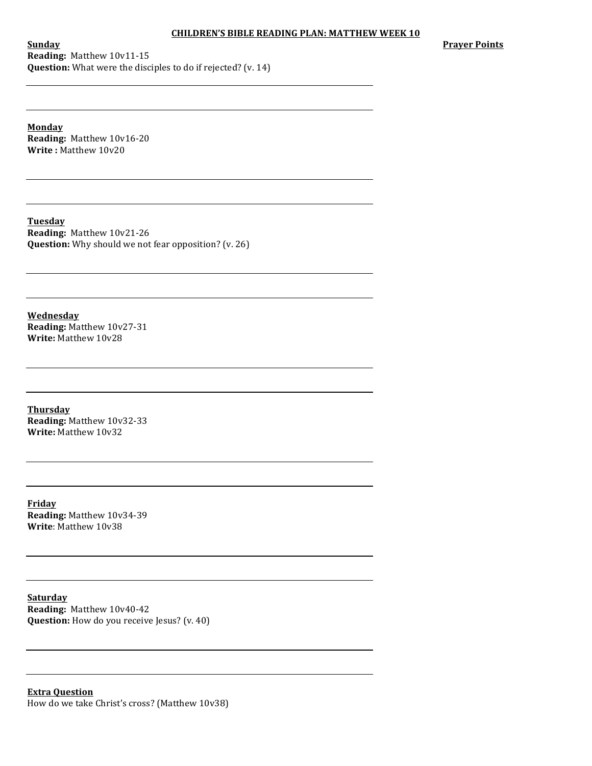**Prayer Points** 

**Sunday Reading:** Matthew 10v11-15 **Question:** What were the disciples to do if rejected? (v. 14)

**Monday Reading:** Matthew 10v16-20 **Write**: Matthew 10v20

**Tuesday Reading:** Matthew 10v21-26 **Question:** Why should we not fear opposition? (v. 26)

**Wednesday Reading:** Matthew 10v27-31 **Write:** Matthew 10v28

**Thursday Reading:** Matthew 10v32-33 **Write:** Matthew 10v32

**Friday Reading:** Matthew 10v34-39 **Write: Matthew 10v38** 

**Saturday Reading:** Matthew 10v40-42 **Question:** How do you receive Jesus? (v. 40)

**Extra Question** How do we take Christ's cross? (Matthew 10v38)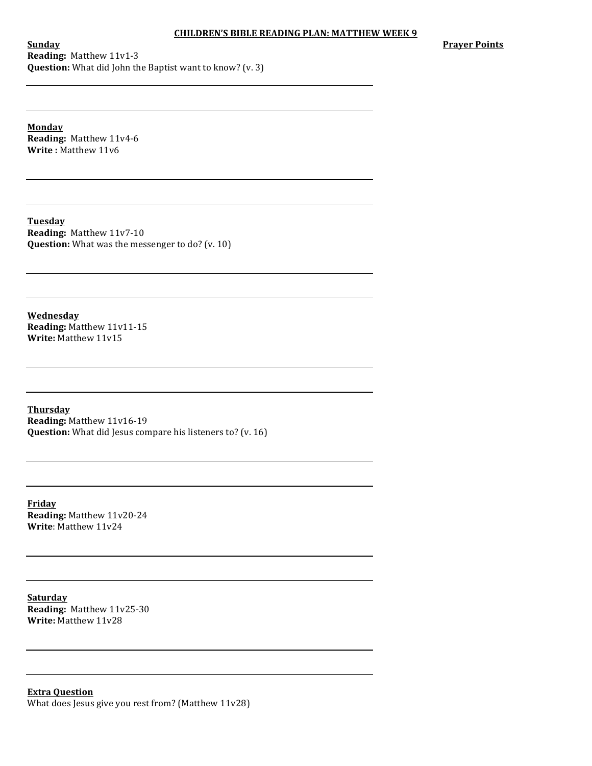**Prayer Points** 

**Sunday Reading:** Matthew 11v1-3 **Question:** What did John the Baptist want to know? (v. 3)

**Monday Reading: Matthew 11v4-6 Write**: Matthew 11v6

**Tuesday Reading:** Matthew 11v7-10 **Question:** What was the messenger to do? (v. 10)

**Wednesday Reading: Matthew 11v11-15 Write: Matthew 11v15** 

**Thursday Reading:** Matthew 11v16-19 **Question:** What did Jesus compare his listeners to? (v. 16)

**Friday Reading:** Matthew 11v20-24 **Write**: Matthew 11v24

**Saturday Reading:** Matthew 11v25-30 **Write: Matthew 11v28** 

**Extra Question** What does Jesus give you rest from? (Matthew 11v28)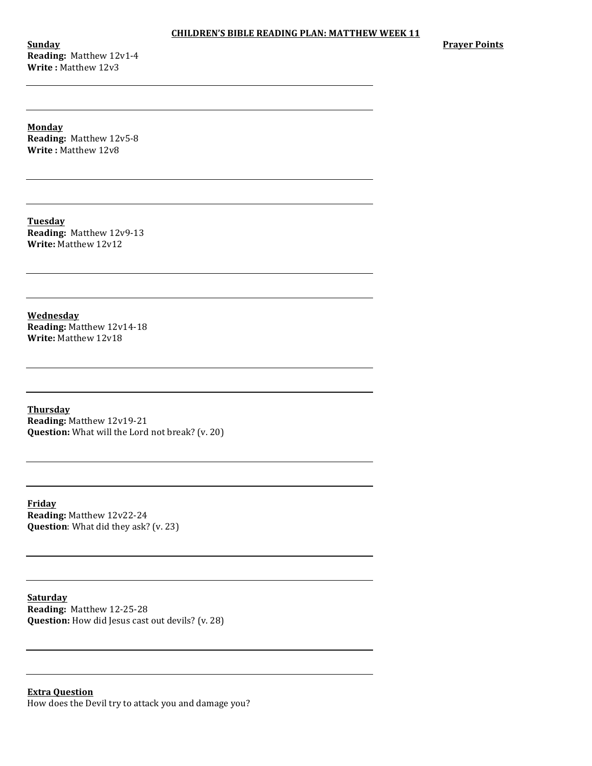**Sunday Reading:** Matthew 12v1-4 **Write: Matthew 12v3** 

**Prayer Points** 

**Monday Reading:** Matthew 12v5-8 **Write**: Matthew 12v8

**Tuesday Reading:** Matthew 12v9-13 **Write:** Matthew 12v12

**Wednesday Reading:** Matthew 12v14-18 **Write:** Matthew 12v18

**Thursday Reading:** Matthew 12v19-21 **Question:** What will the Lord not break? (v. 20)

**Friday Reading: Matthew 12v22-24 Question**: What did they ask? (v. 23)

**Saturday Reading: Matthew 12-25-28 Question:** How did Jesus cast out devils? (v. 28)

**Extra Question** How does the Devil try to attack you and damage you?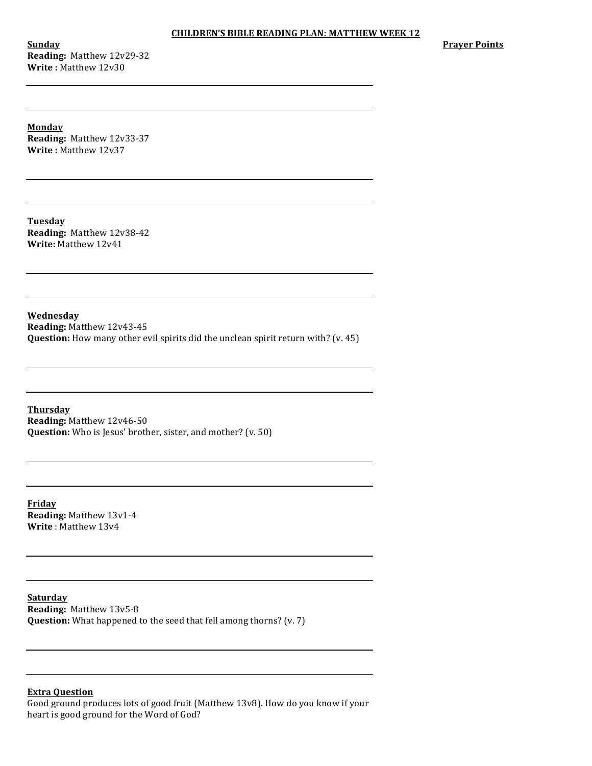**Sunday Reading:** Matthew 12v29-32 **Write: Matthew 12v30** 

**Prayer Points**

**Monday Reading:** Matthew 12v33-37 **Write**: Matthew 12v37

**Tuesday Reading:** Matthew 12v38-42 **Write:** Matthew 12v41

**Wednesday Reading: Matthew 12v43-45 Question:** How many other evil spirits did the unclean spirit return with? (v. 45)

**Thursday Reading:** Matthew 12v46-50 **Question:** Who is Jesus' brother, sister, and mother? (v. 50)

**Friday Reading:** Matthew 13v1-4 **Write**: Matthew 13y4

**Saturday Reading:** Matthew 13v5-8 **Question:** What happened to the seed that fell among thorns? (v. 7)

# **Extra Question**

Good ground produces lots of good fruit (Matthew 13v8). How do you know if your heart is good ground for the Word of God?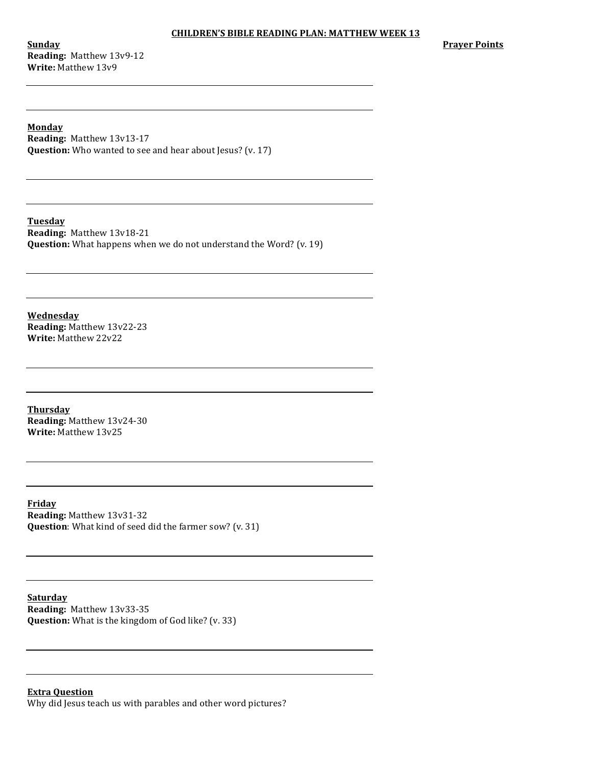**Sunday Reading:** Matthew 13v9-12 **Write:** Matthew 13v9

**Prayer Points** 

**Monday Reading: Matthew 13v13-17 Question:** Who wanted to see and hear about Jesus? (v. 17)

**Tuesday Reading:** Matthew 13v18-21 **Question:** What happens when we do not understand the Word? (v. 19)

**Wednesday Reading:** Matthew 13v22-23 **Write: Matthew 22v22** 

**Thursday Reading:** Matthew 13v24-30 **Write:** Matthew 13v25

**Friday Reading: Matthew 13v31-32 Question**: What kind of seed did the farmer sow? (v. 31)

**Saturday Reading:** Matthew 13v33-35 **Question:** What is the kingdom of God like? (v. 33)

### **Extra Question** Why did Jesus teach us with parables and other word pictures?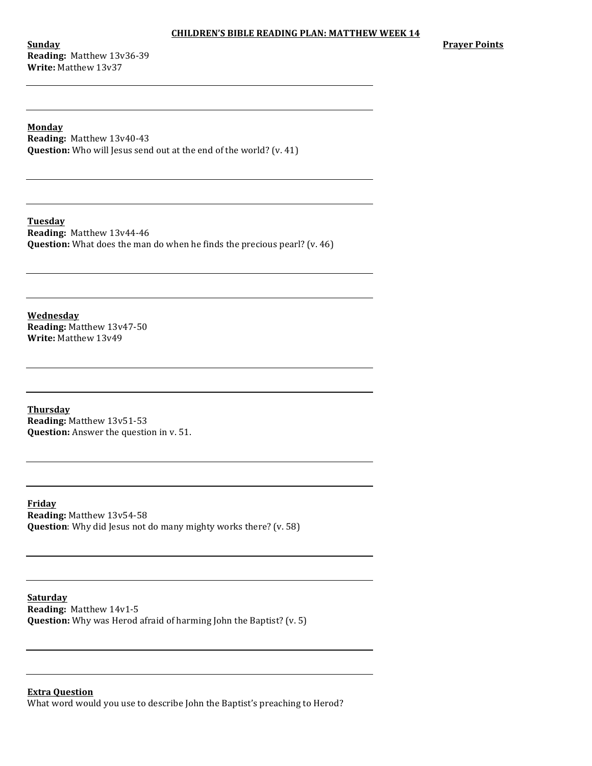**Sunday Reading:** Matthew 13v36-39 **Write: Matthew 13v37** 

**Prayer Points**

**Monday Reading:** Matthew 13v40-43 **Question:** Who will Jesus send out at the end of the world? (v. 41)

**Tuesday Reading:** Matthew 13v44-46 **Question:** What does the man do when he finds the precious pearl? (v. 46)

**Wednesday Reading:** Matthew 13v47-50 **Write: Matthew 13v49** 

**Thursday Reading:** Matthew 13v51-53 **Question:** Answer the question in v. 51.

**Friday Reading: Matthew 13v54-58 Question**: Why did Jesus not do many mighty works there? (v. 58)

**Saturday Reading:** Matthew 14v1-5 **Question:** Why was Herod afraid of harming John the Baptist? (v. 5)

**Extra Question**

What word would you use to describe John the Baptist's preaching to Herod?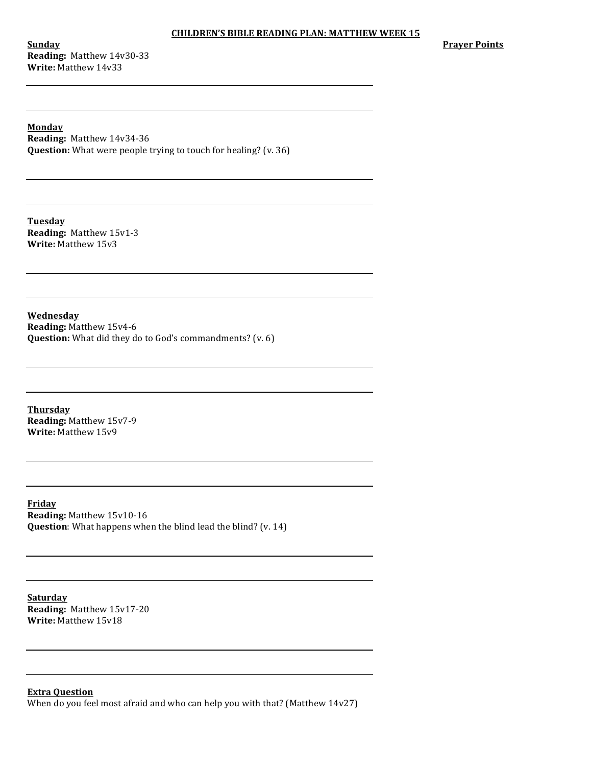**Sunday Reading:** Matthew 14v30-33 **Write:** Matthew 14v33

**Prayer Points**

**Monday Reading:** Matthew 14v34-36 **Question:** What were people trying to touch for healing? (v. 36)

**Tuesday Reading:** Matthew 15v1-3 **Write:** Matthew 15v3

**Wednesday**

**Reading: Matthew 15v4-6 Question:** What did they do to God's commandments? (v. 6)

**Thursday Reading:** Matthew 15v7-9 **Write:** Matthew 15v9

**Friday Reading: Matthew 15v10-16 Question**: What happens when the blind lead the blind? (v. 14)

**Saturday Reading:** Matthew 15v17-20 **Write:** Matthew 15v18

**Extra Question**

When do you feel most afraid and who can help you with that? (Matthew  $14v27$ )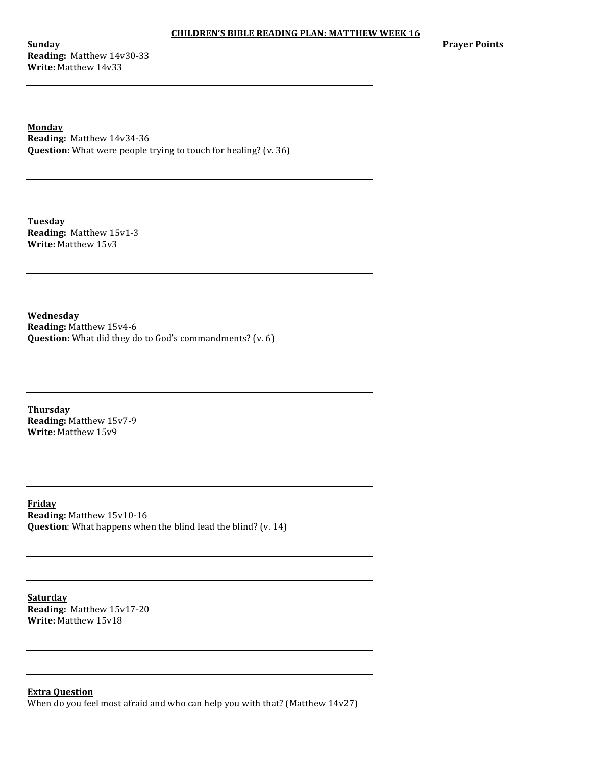**Sunday Reading:** Matthew 14v30-33 **Write:** Matthew 14v33

**Prayer Points**

**Monday Reading:** Matthew 14v34-36 **Question:** What were people trying to touch for healing? (v. 36)

**Tuesday Reading:** Matthew 15v1-3 **Write:** Matthew 15v3

**Wednesday**

**Reading: Matthew 15v4-6 Question:** What did they do to God's commandments? (v. 6)

**Thursday Reading:** Matthew 15v7-9 **Write:** Matthew 15v9

**Friday Reading: Matthew 15v10-16 Question**: What happens when the blind lead the blind? (v. 14)

**Saturday Reading:** Matthew 15v17-20 **Write:** Matthew 15v18

**Extra Question**

When do you feel most afraid and who can help you with that? (Matthew  $14v27$ )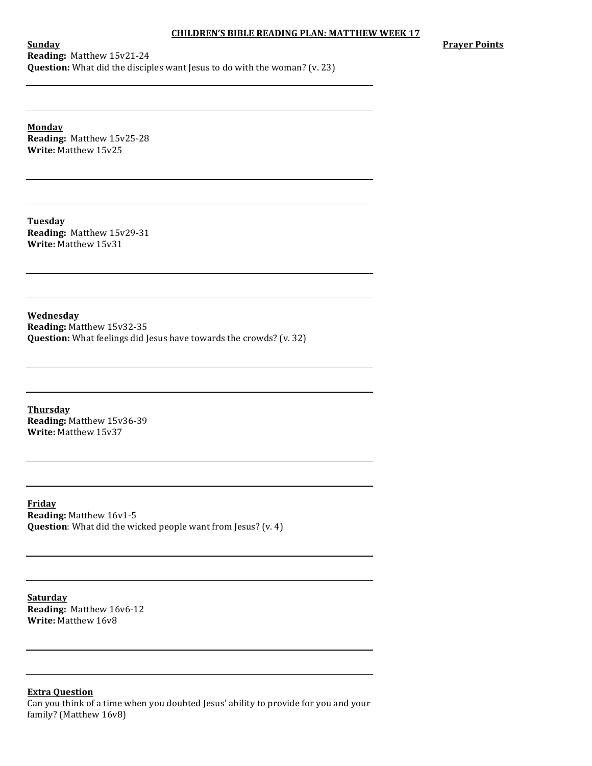**Prayer Points** 

**Sunday Reading:** Matthew 15v21-24 **Question:** What did the disciples want Jesus to do with the woman? (v. 23)

**Monday Reading:** Matthew 15v25-28 **Write:** Matthew 15v25

**Tuesday Reading:** Matthew 15v29-31 **Write:** Matthew 15v31

**Wednesday Reading:** Matthew 15v32-35 **Question:** What feelings did Jesus have towards the crowds? (v. 32)

**Thursday Reading:** Matthew 15v36-39 **Write: Matthew 15v37** 

**Friday Reading: Matthew 16v1-5 Question**: What did the wicked people want from Jesus? (v. 4)

**Saturday Reading:** Matthew 16v6-12 **Write:** Matthew 16v8

# **Extra Question**

Can you think of a time when you doubted Jesus' ability to provide for you and your family? (Matthew 16v8)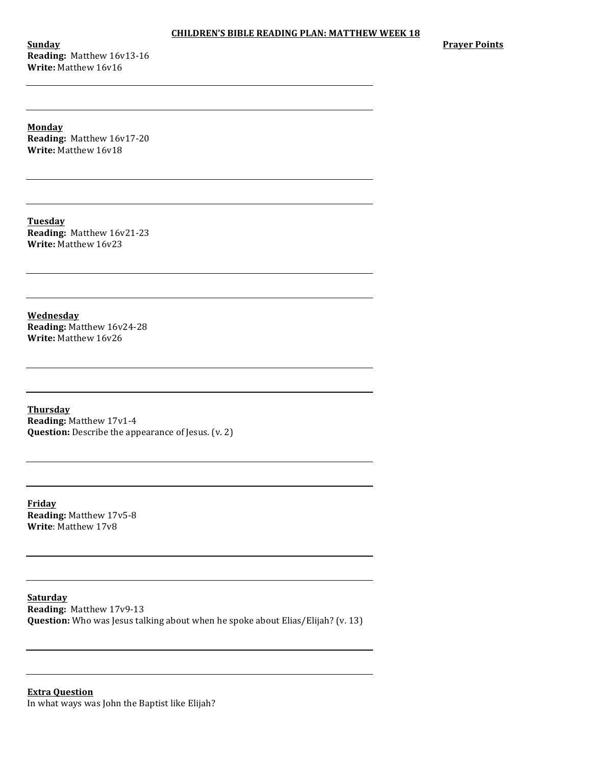**Sunday Reading:** Matthew 16v13-16 **Write:** Matthew 16v16

**Prayer Points** 

**Monday Reading:** Matthew 16v17-20 **Write:** Matthew 16v18

**Tuesday Reading:** Matthew 16v21-23 **Write:** Matthew 16v23

**Wednesday Reading:** Matthew 16v24-28 **Write:** Matthew 16v26

**Thursday Reading:** Matthew 17v1-4 **Question:** Describe the appearance of Jesus. (v. 2)

**Friday Reading:** Matthew 17v5-8 **Write:** Matthew 17v8

**Saturday Reading:** Matthew 17v9-13 **Question:** Who was Jesus talking about when he spoke about Elias/Elijah? (v. 13)

**Extra Question** In what ways was John the Baptist like Elijah?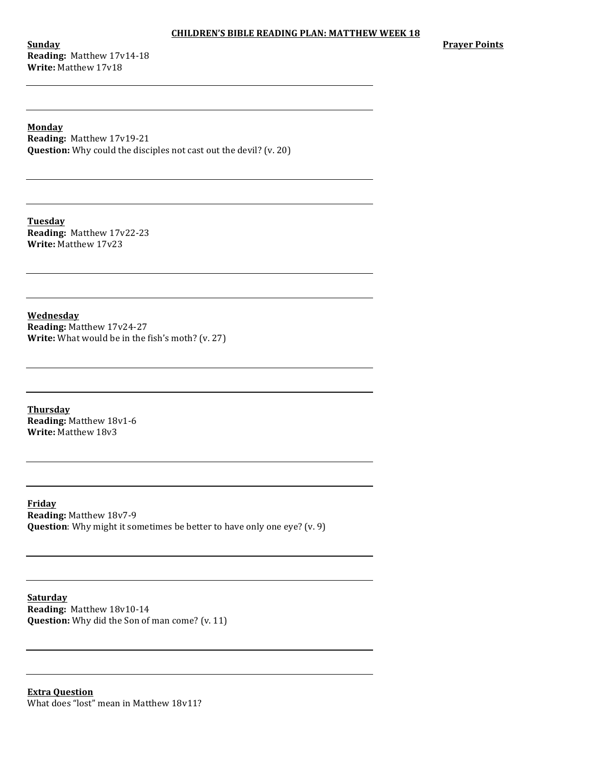**Sunday Reading:** Matthew 17v14-18 **Write:** Matthew 17v18

**Prayer Points** 

**Monday Reading:** Matthew 17v19-21 **Question:** Why could the disciples not cast out the devil? (v. 20)

**Tuesday Reading:** Matthew 17v22-23 **Write:** Matthew 17v23

**Wednesday Reading:** Matthew 17v24-27 **Write:** What would be in the fish's moth? (v. 27)

**Thursday Reading:** Matthew 18v1-6 **Write: Matthew 18v3** 

**Friday Reading:** Matthew 18v7-9 **Question**: Why might it sometimes be better to have only one eye? (v. 9)

**Saturday Reading:** Matthew 18v10-14 **Question:** Why did the Son of man come? (v. 11)

**Extra Question** What does "lost" mean in Matthew 18v11?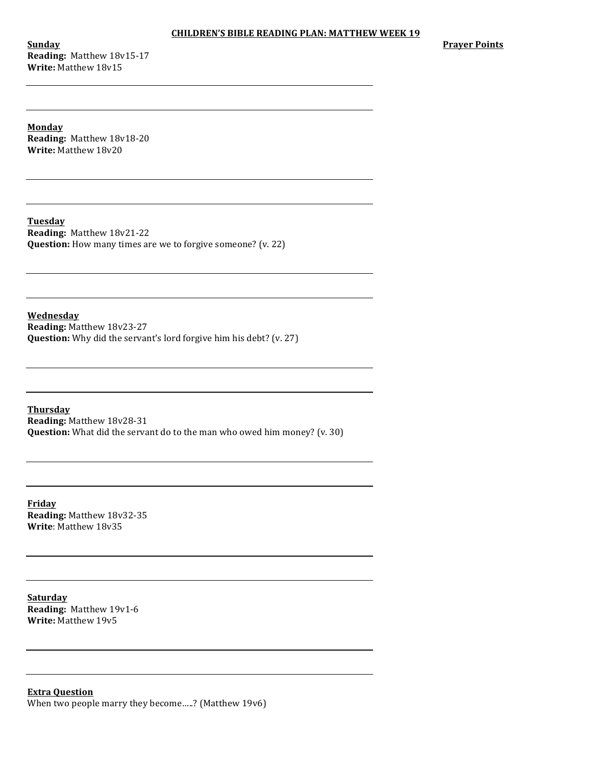**Sunday Reading:** Matthew 18v15-17 **Write:** Matthew 18v15

**Prayer Points** 

**Monday Reading:** Matthew 18v18-20 **Write:** Matthew 18v20

**Tuesday Reading:** Matthew 18v21-22 **Question:** How many times are we to forgive someone? (v. 22)

**Wednesday Reading: Matthew 18v23-27 Question:** Why did the servant's lord forgive him his debt? (v. 27)

**Thursday Reading:** Matthew 18v28-31 **Question:** What did the servant do to the man who owed him money? (v. 30)

**Friday Reading:** Matthew 18v32-35 **Write**: Matthew 18v35

**Saturday Reading:** Matthew 19v1-6 **Write:** Matthew 19v5

**Extra Question** When two people marry they become.....? (Matthew 19v6)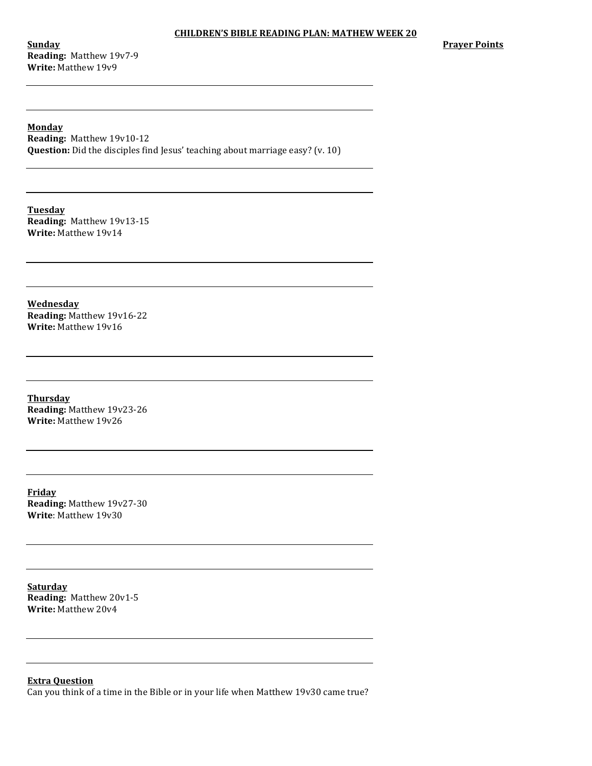**Sunday Reading:** Matthew 19v7-9 **Write:** Matthew 19v9

**Prayer Points** 

**Monday Reading:** Matthew 19v10-12 **Question:** Did the disciples find Jesus' teaching about marriage easy? (v. 10)

**Tuesday Reading:** Matthew 19v13-15 **Write:** Matthew 19v14

**Wednesday Reading:** Matthew 19v16-22 **Write: Matthew 19v16** 

**Thursday Reading: Matthew 19v23-26 Write:** Matthew 19v26

**Friday Reading: Matthew 19v27-30 Write**: Matthew 19v30

**Saturday Reading:** Matthew 20v1-5 **Write:** Matthew 20v4

**Extra Question**

Can you think of a time in the Bible or in your life when Matthew 19v30 came true?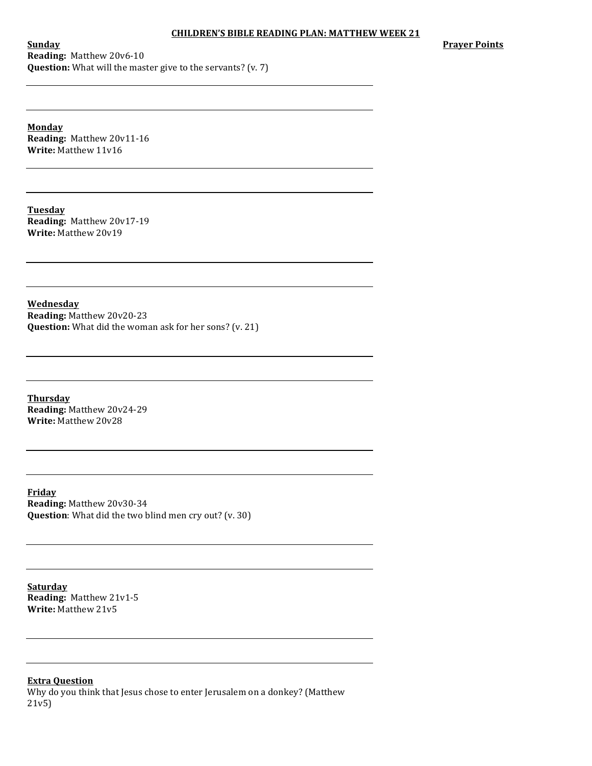**Prayer Points** 

**Sunday Reading:** Matthew 20v6-10 **Question:** What will the master give to the servants? (v. 7)

**Monday Reading:** Matthew 20v11-16 **Write:** Matthew 11v16

**Tuesday Reading:** Matthew 20v17-19 **Write:** Matthew 20v19

**Wednesday Reading:** Matthew 20v20-23 **Question:** What did the woman ask for her sons? (v. 21)

**Thursday Reading:** Matthew 20v24-29 **Write:** Matthew 20v28

**Friday Reading: Matthew 20v30-34 Question**: What did the two blind men cry out? (v. 30)

**Saturday Reading:** Matthew 21v1-5 **Write:** Matthew 21v5

**Extra Question**

Why do you think that Jesus chose to enter Jerusalem on a donkey? (Matthew 21v5)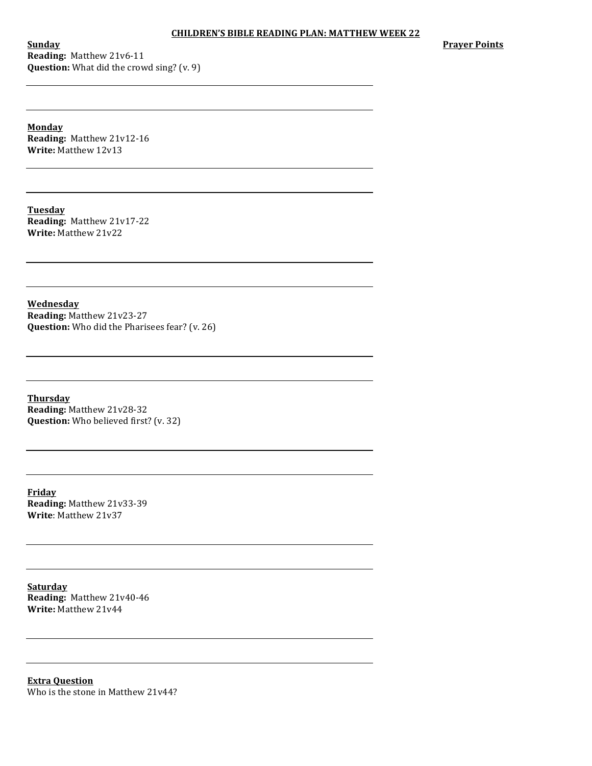**Sunday Reading:** Matthew 21v6-11 **Question:** What did the crowd sing? (v. 9) **Prayer Points** 

**Monday Reading:** Matthew 21v12-16 **Write:** Matthew 12v13

**Tuesday Reading:** Matthew 21v17-22 **Write:** Matthew 21v22

**Wednesday Reading:** Matthew 21v23-27 **Question:** Who did the Pharisees fear? (v. 26)

**Thursday Reading: Matthew 21v28-32 Question:** Who believed first? (v. 32)

**Friday Reading:** Matthew 21v33-39 **Write**: Matthew 21v37

**Saturday Reading:** Matthew 21v40-46 **Write:** Matthew 21v44

**Extra Question** Who is the stone in Matthew 21v44?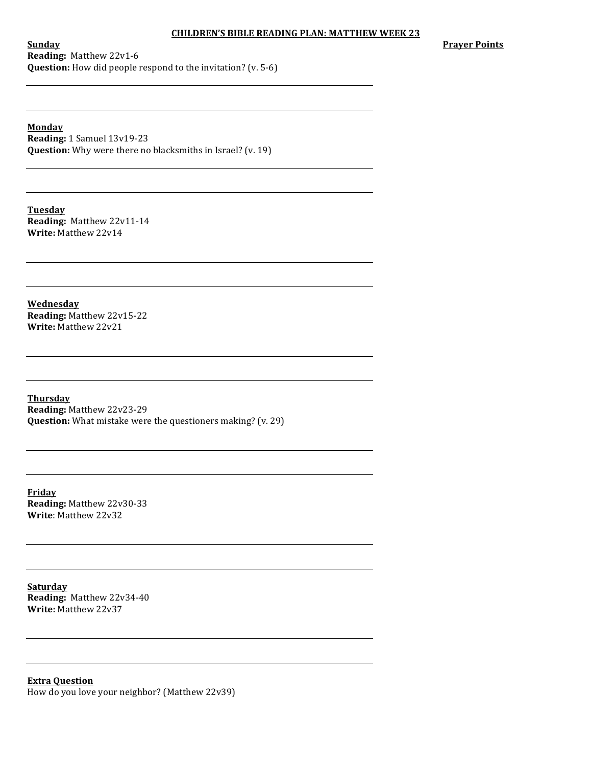**Prayer Points**

**Sunday Reading:** Matthew 22v1-6 **Question:** How did people respond to the invitation? (v. 5-6)

**Monday Reading:** 1 Samuel 13v19-23 **Question:** Why were there no blacksmiths in Israel? (v. 19)

**Tuesday Reading:** Matthew 22v11-14 **Write:** Matthew 22v14

**Wednesday Reading:** Matthew 22v15-22 **Write: Matthew 22v21** 

**Thursday Reading: Matthew 22v23-29 Question:** What mistake were the questioners making? (v. 29)

**Friday Reading:** Matthew 22v30-33 **Write**: Matthew 22v32

**Saturday Reading:** Matthew 22v34-40 **Write:** Matthew 22v37

**Extra Question** How do you love your neighbor? (Matthew 22v39)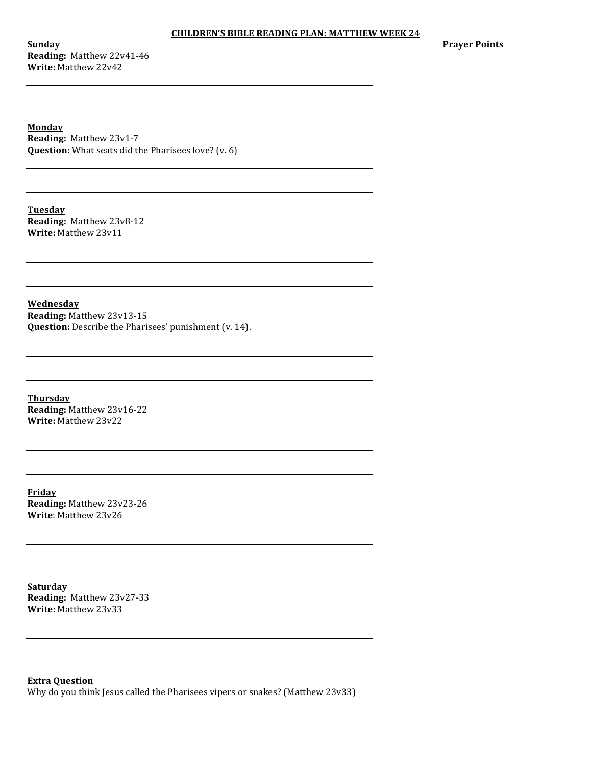**Sunday Reading:** Matthew 22v41-46 **Write: Matthew 22v42** 

**Prayer Points** 

**Monday Reading: Matthew 23v1-7 Question:** What seats did the Pharisees love? (v. 6)

**Tuesday Reading:** Matthew 23v8-12 **Write:** Matthew 23v11

**Wednesday Reading:** Matthew 23v13-15 **Question:** Describe the Pharisees' punishment (v. 14).

**Thursday Reading:** Matthew 23v16-22 **Write:** Matthew 23v22

**Friday Reading:** Matthew 23v23-26 **Write**: Matthew 23v26

**Saturday Reading:** Matthew 23v27-33 **Write:** Matthew 23v33

**Extra Question** Why do you think Jesus called the Pharisees vipers or snakes? (Matthew 23v33)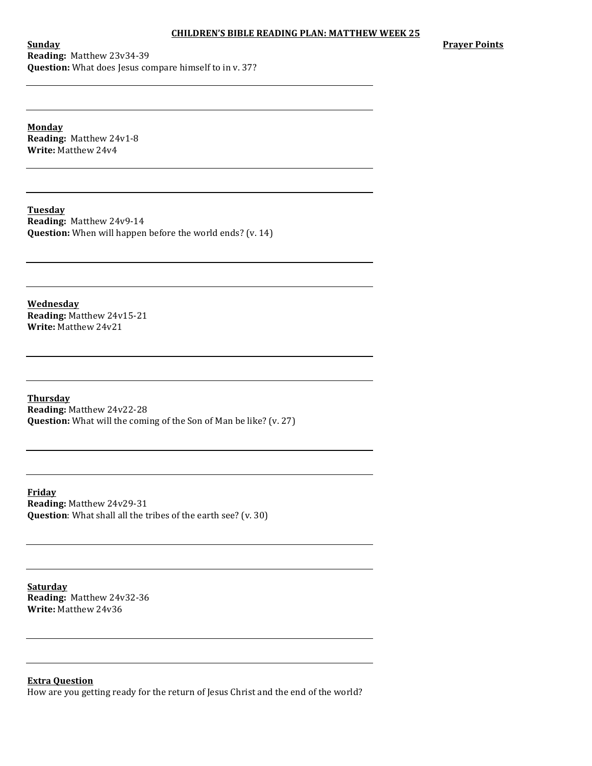**Prayer Points**

**Sunday Reading:** Matthew 23v34-39 **Question:** What does Jesus compare himself to in v. 37?

**Monday Reading:** Matthew 24v1-8 **Write: Matthew 24v4** 

**Tuesday Reading:** Matthew 24v9-14 **Question:** When will happen before the world ends? (v. 14)

**Wednesday Reading:** Matthew 24v15-21 **Write: Matthew 24v21** 

**Thursday Reading:** Matthew 24v22-28 **Question:** What will the coming of the Son of Man be like? (v. 27)

**Friday Reading: Matthew 24v29-31 Question**: What shall all the tribes of the earth see? (v. 30)

**Saturday Reading:** Matthew 24v32-36 **Write:** Matthew 24v36

**Extra Question**

How are you getting ready for the return of Jesus Christ and the end of the world?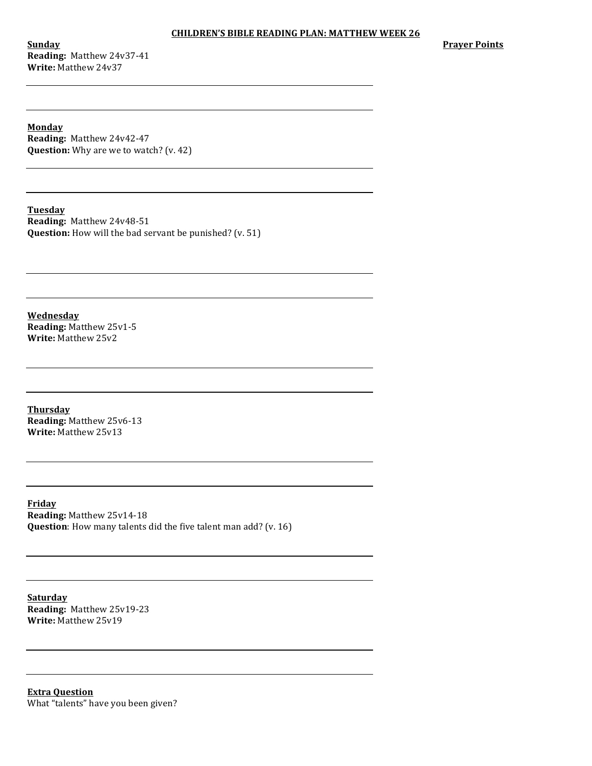**Sunday Reading:** Matthew 24v37-41 **Write: Matthew 24v37** 

**Prayer Points** 

**Monday Reading:** Matthew 24v42-47 **Question:** Why are we to watch? (v. 42)

**Tuesday**

**Reading:** Matthew 24v48-51 **Question:** How will the bad servant be punished? (v. 51)

**Wednesday Reading:** Matthew 25v1-5 **Write: Matthew 25v2** 

**Thursday Reading:** Matthew 25v6-13 **Write: Matthew 25v13** 

**Friday Reading:** Matthew 25v14-18 **Question**: How many talents did the five talent man add? (v. 16)

**Saturday Reading:** Matthew 25v19-23 **Write:** Matthew 25v19

**Extra Question** What "talents" have you been given?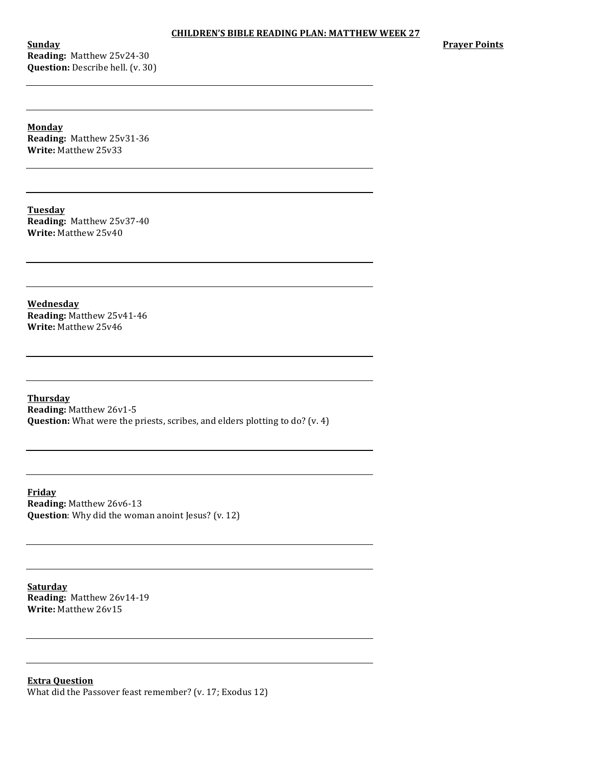**Sunday Reading:** Matthew 25v24-30 **Question:** Describe hell. (v. 30) **Prayer Points** 

**Monday Reading:** Matthew 25v31-36 **Write:** Matthew 25v33

**Tuesday Reading:** Matthew 25v37-40 **Write:** Matthew 25v40

**Wednesday Reading:** Matthew 25v41-46 **Write: Matthew 25v46** 

**Thursday Reading: Matthew 26v1-5 Question:** What were the priests, scribes, and elders plotting to do? (v. 4)

**Friday Reading:** Matthew 26v6-13 **Question**: Why did the woman anoint Jesus? (v. 12)

**Saturday Reading:** Matthew 26v14-19 **Write:** Matthew 26v15

**Extra Question** What did the Passover feast remember? (v. 17; Exodus 12)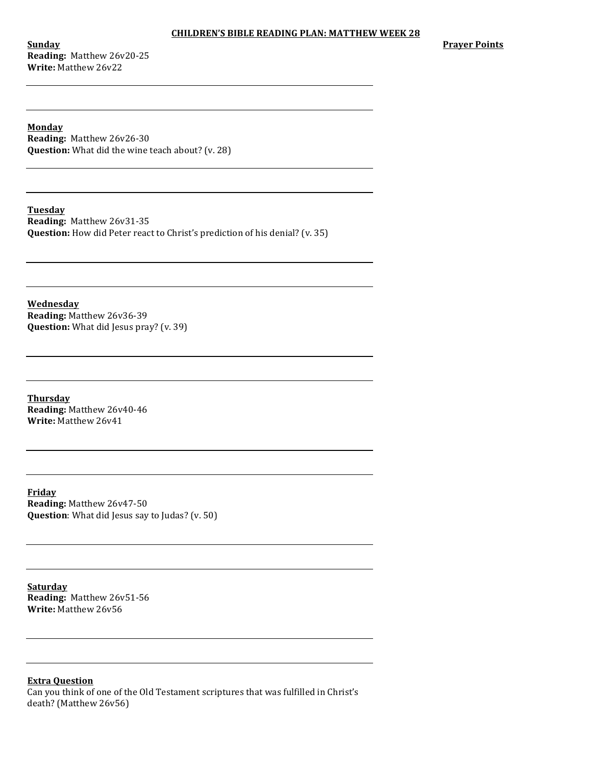**Sunday Reading:** Matthew 26v20-25 **Write:** Matthew 26y22

**Prayer Points**

**Monday Reading:** Matthew 26v26-30 **Question:** What did the wine teach about? (v. 28)

**Tuesday**

**Reading:** Matthew 26v31-35 **Question:** How did Peter react to Christ's prediction of his denial? (v. 35)

**Wednesday Reading:** Matthew 26v36-39 **Question:** What did Jesus pray? (v. 39)

**Thursday Reading:** Matthew 26v40-46 **Write:** Matthew 26v41

**Friday Reading:** Matthew 26v47-50 **Question**: What did Jesus say to Judas? (v. 50)

**Saturday Reading:** Matthew 26v51-56 **Write:** Matthew 26v56

**Extra Question** Can you think of one of the Old Testament scriptures that was fulfilled in Christ's death? (Matthew 26v56)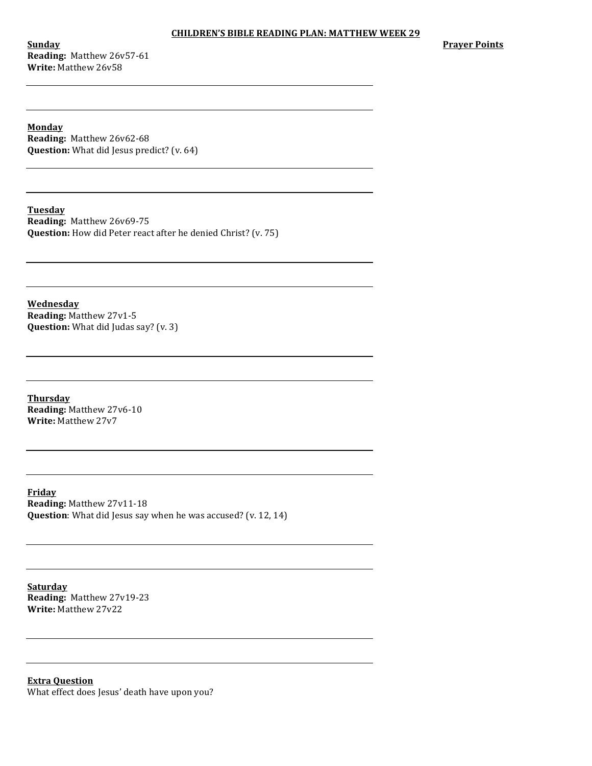**Sunday Reading:** Matthew 26v57-61 **Write:** Matthew 26v58

**Prayer Points** 

**Monday Reading:** Matthew 26v62-68 **Question:** What did Jesus predict? (v. 64)

**Tuesday**

**Reading:** Matthew 26v69-75 **Question:** How did Peter react after he denied Christ? (v. 75)

**Wednesday Reading:** Matthew 27v1-5 **Question:** What did Judas say? (v. 3)

**Thursday Reading:** Matthew 27v6-10 **Write:** Matthew 27v7

**Friday Reading: Matthew 27v11-18 Question**: What did Jesus say when he was accused? (v. 12, 14)

**Saturday Reading:** Matthew 27v19-23 **Write:** Matthew 27v22

**Extra Question** What effect does Jesus' death have upon you?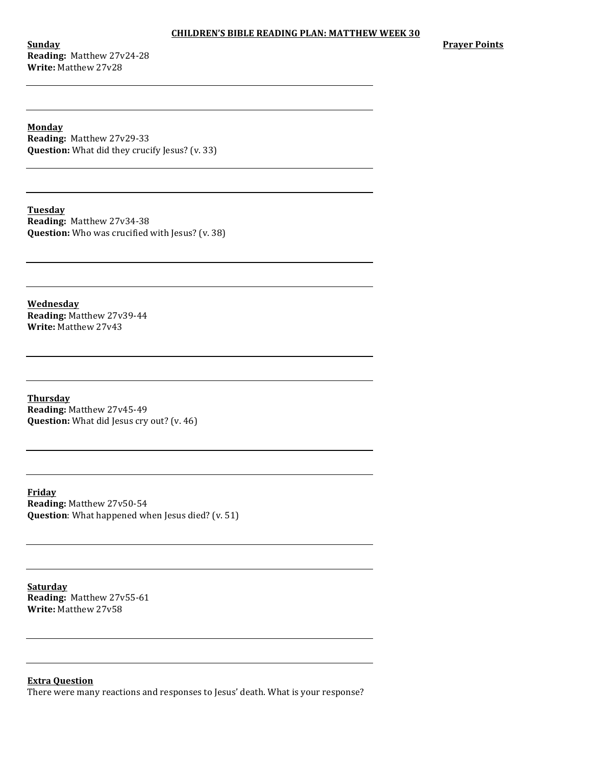**Sunday Reading:** Matthew 27v24-28 **Write: Matthew 27v28** 

**Prayer Points**

**Monday Reading:** Matthew 27v29-33 **Question:** What did they crucify Jesus? (v. 33)

**Tuesday Reading:** Matthew 27v34-38 **Question:** Who was crucified with Jesus? (v. 38)

**Wednesday Reading:** Matthew 27v39-44 **Write: Matthew 27v43** 

**Thursday Reading: Matthew 27v45-49 Question:** What did Jesus cry out? (v. 46)

**Friday Reading: Matthew 27v50-54 Question**: What happened when Jesus died? (v. 51)

**Saturday Reading:** Matthew 27v55-61 **Write:** Matthew 27v58

**Extra Question**

There were many reactions and responses to Jesus' death. What is your response?